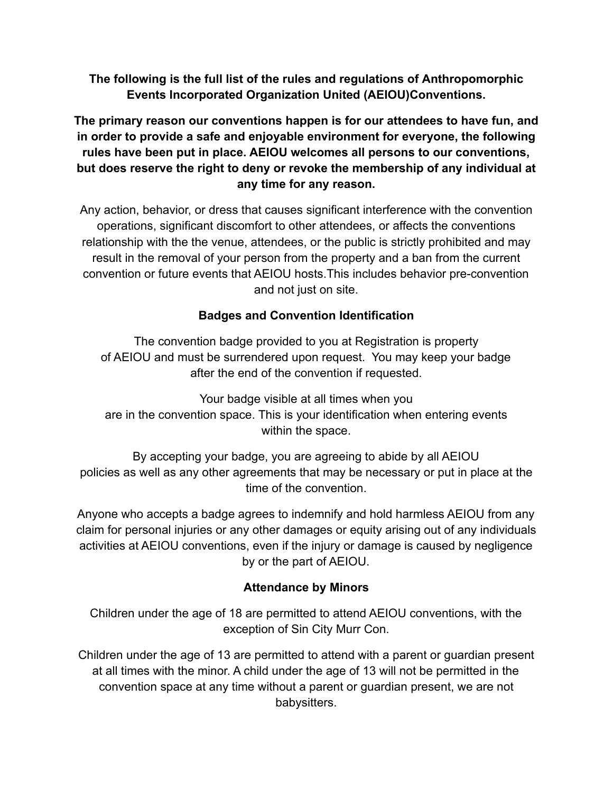## **The following is the full list of the rules and regulations of Anthropomorphic Events Incorporated Organization United (AEIOU)Conventions.**

**The primary reason our conventions happen is for our attendees to have fun, and in order to provide a safe and enjoyable environment for everyone, the following rules have been put in place. AEIOU welcomes all persons to our conventions, but does reserve the right to deny or revoke the membership of any individual at any time for any reason.**

Any action, behavior, or dress that causes significant interference with the convention operations, significant discomfort to other attendees, or affects the conventions relationship with the the venue, attendees, or the public is strictly prohibited and may result in the removal of your person from the property and a ban from the current convention or future events that AEIOU hosts.This includes behavior pre-convention and not just on site.

# **Badges and Convention Identification**

The convention badge provided to you at Registration is property of AEIOU and must be surrendered upon request. You may keep your badge after the end of the convention if requested.

Your badge visible at all times when you are in the convention space. This is your identification when entering events within the space.

By accepting your badge, you are agreeing to abide by all AEIOU policies as well as any other agreements that may be necessary or put in place at the time of the convention.

Anyone who accepts a badge agrees to indemnify and hold harmless AEIOU from any claim for personal injuries or any other damages or equity arising out of any individuals activities at AEIOU conventions, even if the injury or damage is caused by negligence by or the part of AEIOU.

# **Attendance by Minors**

Children under the age of 18 are permitted to attend AEIOU conventions, with the exception of Sin City Murr Con.

Children under the age of 13 are permitted to attend with a parent or guardian present at all times with the minor. A child under the age of 13 will not be permitted in the convention space at any time without a parent or guardian present, we are not babysitters.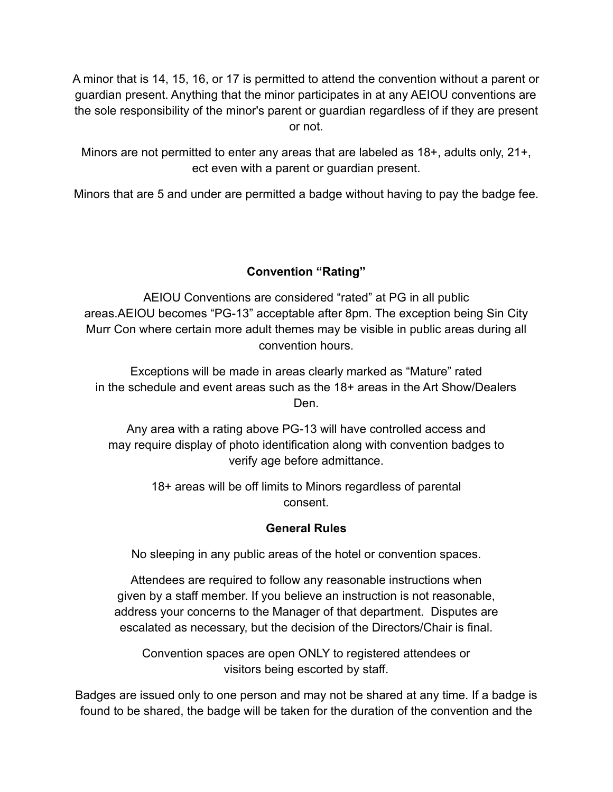A minor that is 14, 15, 16, or 17 is permitted to attend the convention without a parent or guardian present. Anything that the minor participates in at any AEIOU conventions are the sole responsibility of the minor's parent or guardian regardless of if they are present or not.

Minors are not permitted to enter any areas that are labeled as 18+, adults only, 21+, ect even with a parent or guardian present.

Minors that are 5 and under are permitted a badge without having to pay the badge fee.

# **Convention "Rating"**

AEIOU Conventions are considered "rated" at PG in all public areas.AEIOU becomes "PG-13" acceptable after 8pm. The exception being Sin City Murr Con where certain more adult themes may be visible in public areas during all convention hours.

Exceptions will be made in areas clearly marked as "Mature" rated in the schedule and event areas such as the 18+ areas in the Art Show/Dealers Den.

Any area with a rating above PG-13 will have controlled access and may require display of photo identification along with convention badges to verify age before admittance.

> 18+ areas will be off limits to Minors regardless of parental consent.

#### **General Rules**

No sleeping in any public areas of the hotel or convention spaces.

Attendees are required to follow any reasonable instructions when given by a staff member. If you believe an instruction is not reasonable, address your concerns to the Manager of that department. Disputes are escalated as necessary, but the decision of the Directors/Chair is final.

Convention spaces are open ONLY to registered attendees or visitors being escorted by staff.

Badges are issued only to one person and may not be shared at any time. If a badge is found to be shared, the badge will be taken for the duration of the convention and the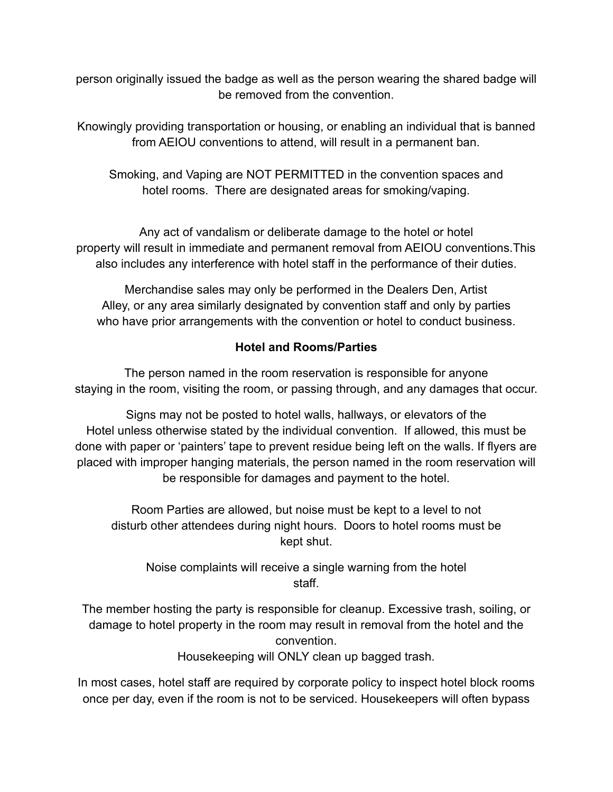person originally issued the badge as well as the person wearing the shared badge will be removed from the convention.

Knowingly providing transportation or housing, or enabling an individual that is banned from AEIOU conventions to attend, will result in a permanent ban.

Smoking, and Vaping are NOT PERMITTED in the convention spaces and hotel rooms. There are designated areas for smoking/vaping.

Any act of vandalism or deliberate damage to the hotel or hotel property will result in immediate and permanent removal from AEIOU conventions.This also includes any interference with hotel staff in the performance of their duties.

Merchandise sales may only be performed in the Dealers Den, Artist Alley, or any area similarly designated by convention staff and only by parties who have prior arrangements with the convention or hotel to conduct business.

#### **Hotel and Rooms/Parties**

The person named in the room reservation is responsible for anyone staying in the room, visiting the room, or passing through, and any damages that occur.

Signs may not be posted to hotel walls, hallways, or elevators of the Hotel unless otherwise stated by the individual convention. If allowed, this must be done with paper or 'painters' tape to prevent residue being left on the walls. If flyers are placed with improper hanging materials, the person named in the room reservation will be responsible for damages and payment to the hotel.

Room Parties are allowed, but noise must be kept to a level to not disturb other attendees during night hours. Doors to hotel rooms must be kept shut.

Noise complaints will receive a single warning from the hotel staff.

The member hosting the party is responsible for cleanup. Excessive trash, soiling, or damage to hotel property in the room may result in removal from the hotel and the convention.

Housekeeping will ONLY clean up bagged trash.

In most cases, hotel staff are required by corporate policy to inspect hotel block rooms once per day, even if the room is not to be serviced. Housekeepers will often bypass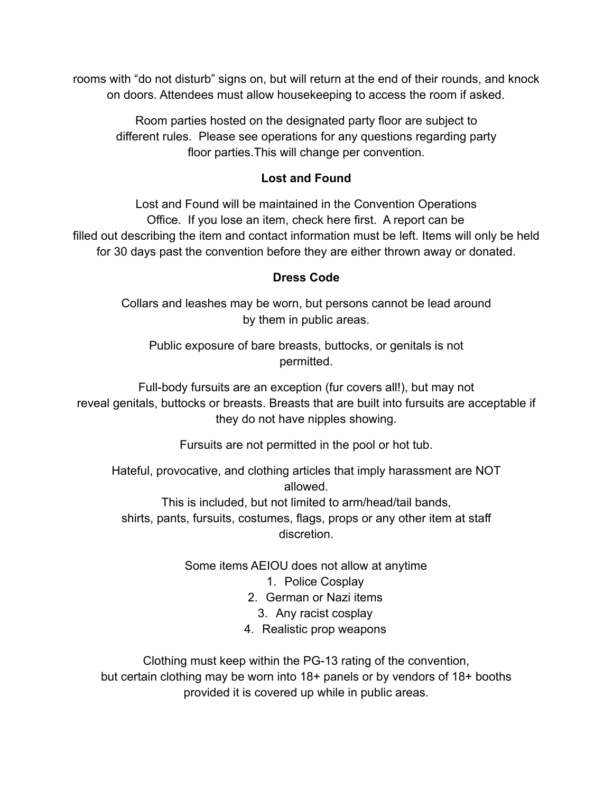rooms with "do not disturb" signs on, but will return at the end of their rounds, and knock on doors. Attendees must allow housekeeping to access the room if asked.

Room parties hosted on the designated party floor are subject to different rules. Please see operations for any questions regarding party floor parties.This will change per convention.

## **Lost and Found**

Lost and Found will be maintained in the Convention Operations Office. If you lose an item, check here first. A report can be filled out describing the item and contact information must be left. Items will only be held for 30 days past the convention before they are either thrown away or donated.

## **Dress Code**

Collars and leashes may be worn, but persons cannot be lead around by them in public areas.

Public exposure of bare breasts, buttocks, or genitals is not permitted.

Full-body fursuits are an exception (fur covers all!), but may not reveal genitals, buttocks or breasts. Breasts that are built into fursuits are acceptable if they do not have nipples showing.

Fursuits are not permitted in the pool or hot tub.

Hateful, provocative, and clothing articles that imply harassment are NOT allowed.

This is included, but not limited to arm/head/tail bands, shirts, pants, fursuits, costumes, flags, props or any other item at staff discretion.

Some items AEIOU does not allow at anytime

#### 1. Police Cosplay

2. German or Nazi items

- 3. Any racist cosplay
- 4. Realistic prop weapons

Clothing must keep within the PG-13 rating of the convention, but certain clothing may be worn into 18+ panels or by vendors of 18+ booths provided it is covered up while in public areas.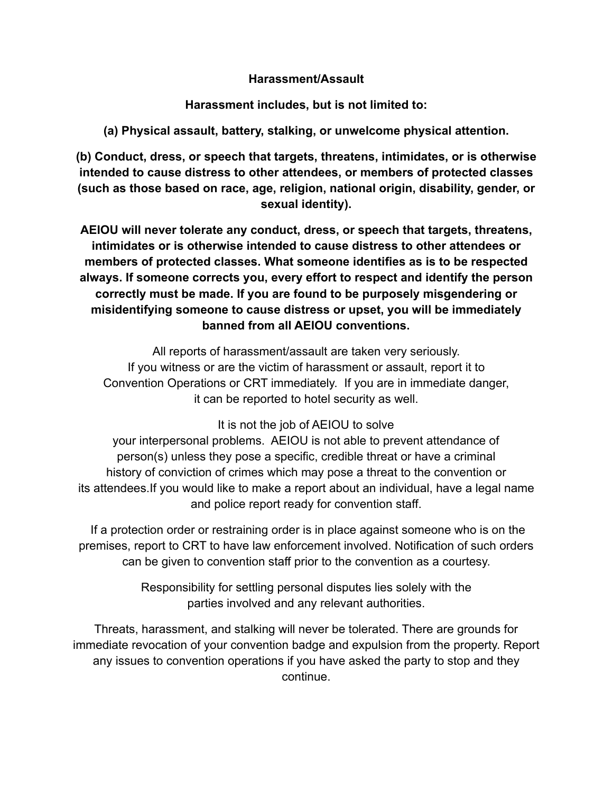#### **Harassment/Assault**

**Harassment includes, but is not limited to:**

**(a) Physical assault, battery, stalking, or unwelcome physical attention.**

**(b) Conduct, dress, or speech that targets, threatens, intimidates, or is otherwise intended to cause distress to other attendees, or members of protected classes (such as those based on race, age, religion, national origin, disability, gender, or sexual identity).**

**AEIOU will never tolerate any conduct, dress, or speech that targets, threatens, intimidates or is otherwise intended to cause distress to other attendees or members of protected classes. What someone identifies as is to be respected always. If someone corrects you, every effort to respect and identify the person correctly must be made. If you are found to be purposely misgendering or misidentifying someone to cause distress or upset, you will be immediately banned from all AEIOU conventions.**

All reports of harassment/assault are taken very seriously. If you witness or are the victim of harassment or assault, report it to Convention Operations or CRT immediately. If you are in immediate danger, it can be reported to hotel security as well.

It is not the job of AEIOU to solve

your interpersonal problems. AEIOU is not able to prevent attendance of person(s) unless they pose a specific, credible threat or have a criminal history of conviction of crimes which may pose a threat to the convention or its attendees.If you would like to make a report about an individual, have a legal name and police report ready for convention staff.

If a protection order or restraining order is in place against someone who is on the premises, report to CRT to have law enforcement involved. Notification of such orders can be given to convention staff prior to the convention as a courtesy.

> Responsibility for settling personal disputes lies solely with the parties involved and any relevant authorities.

Threats, harassment, and stalking will never be tolerated. There are grounds for immediate revocation of your convention badge and expulsion from the property. Report any issues to convention operations if you have asked the party to stop and they continue.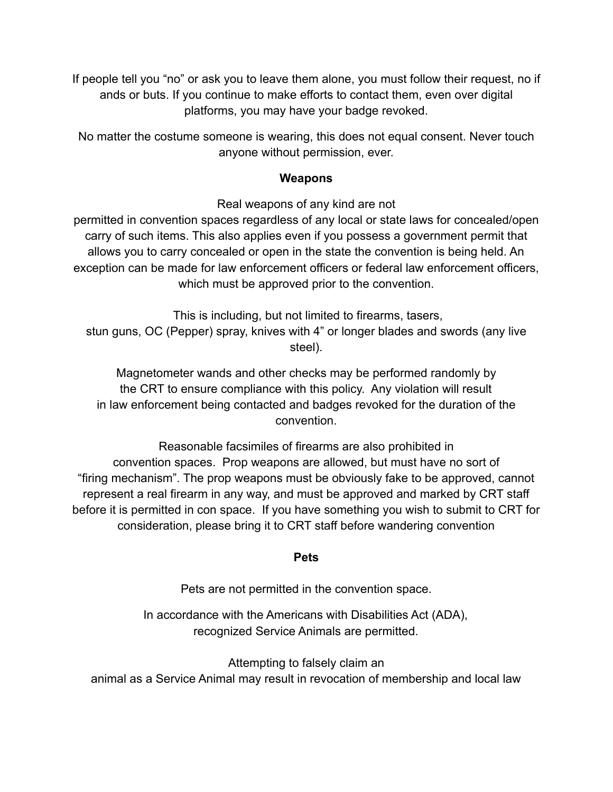If people tell you "no" or ask you to leave them alone, you must follow their request, no if ands or buts. If you continue to make efforts to contact them, even over digital platforms, you may have your badge revoked.

No matter the costume someone is wearing, this does not equal consent. Never touch anyone without permission, ever.

#### **Weapons**

Real weapons of any kind are not

permitted in convention spaces regardless of any local or state laws for concealed/open carry of such items. This also applies even if you possess a government permit that allows you to carry concealed or open in the state the convention is being held. An exception can be made for law enforcement officers or federal law enforcement officers, which must be approved prior to the convention.

This is including, but not limited to firearms, tasers, stun guns, OC (Pepper) spray, knives with 4" or longer blades and swords (any live steel).

Magnetometer wands and other checks may be performed randomly by the CRT to ensure compliance with this policy. Any violation will result in law enforcement being contacted and badges revoked for the duration of the convention.

Reasonable facsimiles of firearms are also prohibited in convention spaces. Prop weapons are allowed, but must have no sort of "firing mechanism". The prop weapons must be obviously fake to be approved, cannot represent a real firearm in any way, and must be approved and marked by CRT staff before it is permitted in con space. If you have something you wish to submit to CRT for consideration, please bring it to CRT staff before wandering convention

#### **Pets**

Pets are not permitted in the convention space.

In accordance with the Americans with Disabilities Act (ADA), recognized Service Animals are permitted.

Attempting to falsely claim an animal as a Service Animal may result in revocation of membership and local law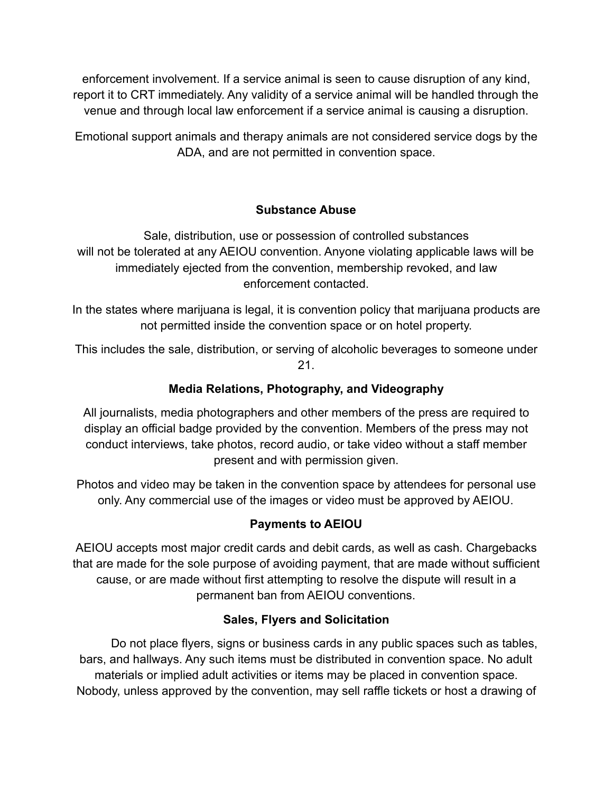enforcement involvement. If a service animal is seen to cause disruption of any kind, report it to CRT immediately. Any validity of a service animal will be handled through the venue and through local law enforcement if a service animal is causing a disruption.

Emotional support animals and therapy animals are not considered service dogs by the ADA, and are not permitted in convention space.

## **Substance Abuse**

Sale, distribution, use or possession of controlled substances will not be tolerated at any AEIOU convention. Anyone violating applicable laws will be immediately ejected from the convention, membership revoked, and law enforcement contacted.

In the states where marijuana is legal, it is convention policy that marijuana products are not permitted inside the convention space or on hotel property.

This includes the sale, distribution, or serving of alcoholic beverages to someone under 21.

## **Media Relations, Photography, and Videography**

All journalists, media photographers and other members of the press are required to display an official badge provided by the convention. Members of the press may not conduct interviews, take photos, record audio, or take video without a staff member present and with permission given.

Photos and video may be taken in the convention space by attendees for personal use only. Any commercial use of the images or video must be approved by AEIOU.

# **Payments to AEIOU**

AEIOU accepts most major credit cards and debit cards, as well as cash. Chargebacks that are made for the sole purpose of avoiding payment, that are made without sufficient cause, or are made without first attempting to resolve the dispute will result in a permanent ban from AEIOU conventions.

#### **Sales, Flyers and Solicitation**

Do not place flyers, signs or business cards in any public spaces such as tables, bars, and hallways. Any such items must be distributed in convention space. No adult materials or implied adult activities or items may be placed in convention space. Nobody, unless approved by the convention, may sell raffle tickets or host a drawing of